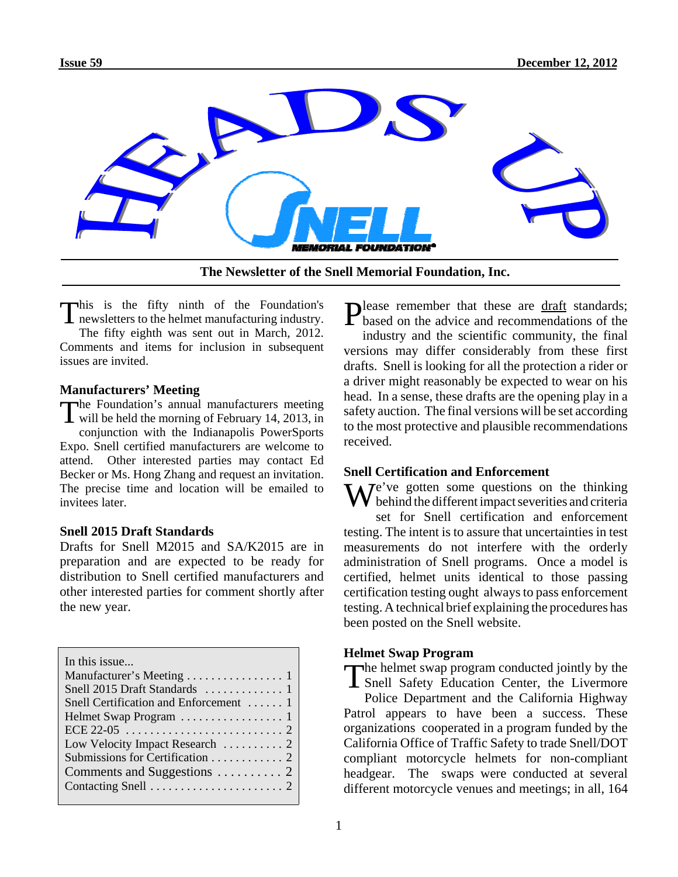

**The Newsletter of the Snell Memorial Foundation, Inc.**

This is the fifty ninth of the Foundation's  $\blacksquare$  newsletters to the helmet manufacturing industry. The fifty eighth was sent out in March, 2012. Comments and items for inclusion in subsequent issues are invited.

### **Manufacturers' Meeting**

The Foundation's annual manufacturers meeting will be held the morning of February 14, 2013, in conjunction with the Indianapolis PowerSports Expo. Snell certified manufacturers are welcome to attend. Other interested parties may contact Ed Becker or Ms. Hong Zhang and request an invitation. The precise time and location will be emailed to invitees later.

# **Snell 2015 Draft Standards**

Drafts for Snell M2015 and SA/K2015 are in preparation and are expected to be ready for distribution to Snell certified manufacturers and other interested parties for comment shortly after the new year.

Please remember that these are draft standards;<br>based on the advice and recommendations of the

industry and the scientific community, the final versions may differ considerably from these first drafts. Snell is looking for all the protection a rider or a driver might reasonably be expected to wear on his head. In a sense, these drafts are the opening play in a safety auction. The final versions will be set according to the most protective and plausible recommendations received.

# **Snell Certification and Enforcement**

 $\mathbf{W}$   $\mathbf{V}$   $e^{\gamma}$  ve gotten some questions on the thinking behind the different impact severities and criteria set for Snell certification and enforcement testing. The intent is to assure that uncertainties in test measurements do not interfere with the orderly administration of Snell programs. Once a model is certified, helmet units identical to those passing certification testing ought always to pass enforcement testing. A technical brief explaining the procedures has been posted on the Snell website.

### **Helmet Swap Program**

The helmet swap program conducted jointly by the Snell Safety Education Center, the Livermore Police Department and the California Highway Patrol appears to have been a success. These organizations cooperated in a program funded by the California Office of Traffic Safety to trade Snell/DOT compliant motorcycle helmets for non-compliant headgear. The swaps were conducted at several different motorcycle venues and meetings; in all, 164